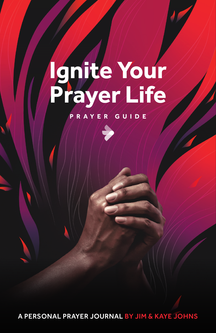## **Ignite Your Prayer Life**

## **P R AY E R G U I D E**

A PERSONAL PRAYER JOURNAL BY JIM & KAYE JOHNS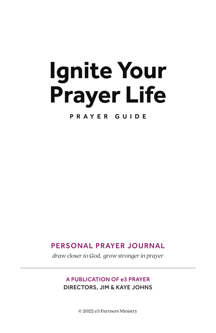# **Ignite Your Prayer Life**

**P R AY E R G U I D E**

### PERSONAL PRAYER JOURNAL

*draw closer to God, grow stronger in prayer*

#### A PUBLICATION OF e3 PRAYER DIRECTORS, JIM & KAYE JOHNS

© 2022 e3 Partners Ministry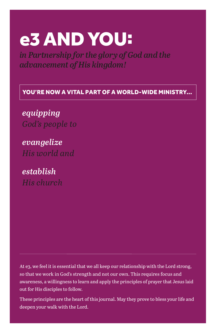## e3 AND YOU:

*in Partnership for the glory of God and the advancement of His kingdom!*

YOU'RE NOW A VITAL PART OF A WORLD-WIDE MINISTRY...

*equipping God's people to*

*evangelize His world and*

*establish His church*

At e3, we feel it is essential that we all keep our relationship with the Lord strong, so that we work in God's strength and not our own. This requires focus and awareness, a willingness to learn and apply the principles of prayer that Jesus laid out for His disciples to follow.

These principles are the heart of this journal. May they prove to bless your life and deepen your walk with the Lord.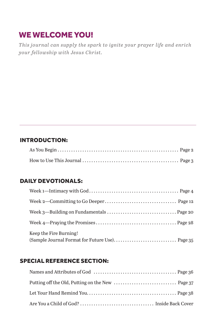## WE WELCOME YOU!

*This journal can supply the spark to ignite your prayer life and enrich your fellowship with Jesus Christ.*

#### INTRODUCTION:

#### DAILY DEVOTIONALS:

| Keep the Fire Burning!<br>(Sample Journal Format for Future Use) Page 35 |  |
|--------------------------------------------------------------------------|--|
|                                                                          |  |

#### SPECIAL REFERENCE SECTION: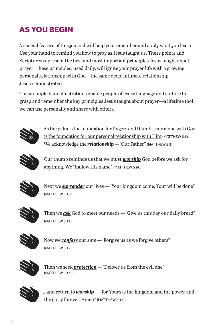## AS YOU BEGIN

A special feature of this journal will help you remember and apply what you learn. Use your hand to remind you how to pray as Jesus taught us. These points and Scriptures represent the first and most important principles Jesus taught about prayer. These principles, used daily, will ignite your prayer life with a growing personal relationship with God—the same deep, intimate relationship Jesus demonstrated.

These simple hand illustrations enable people of every language and culture to grasp and remember the key principles Jesus taught about prayer—a lifetime tool we can use personally and share with others.



As the palm is the foundation for fingers and thumb, time alone with God is the foundation for our personal relationship with Him (MATTHEW 6:6). We acknowledge the *relationship* — "Our Father" (MATTHEW 6:9).



Our thumb reminds us that we must *worship* God before we ask for anything. We "hallow His name" (MATTHEW 6:9).



Next we *surrender* our lives —"Your kingdom come, Your will be done" (MATTHEW 6:10).



Then we *ask* God to meet our needs —"Give us this day our daily bread" (MATTHEW 6:11).



Now we *confess* our sins —"Forgive us as we forgive others" (MATTHEW 6:12).



Then we seek *protection* —"Deliver us from the evil one" (MATTHEW 6:13).



...and return to *worship* —"for Yours is the kingdom and the power and the glory forever. Amen" (MATTHEW 6:13).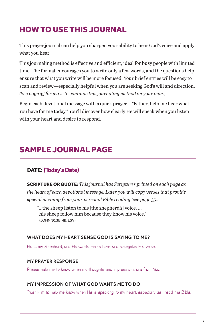## HOW TO USE THIS JOURNAL

This prayer journal can help you sharpen your ability to hear God's voice and apply what you hear.

This journaling method is effective and efficient, ideal for busy people with limited time. The format encourages you to write only a few words, and the questions help ensure that what you write will be more focused. Your brief entries will be easy to scan and review—especially helpful when you are seeking God's will and direction. *(See page 35 for ways to continue this journaling method on your own.)*

Begin each devotional message with a quick prayer—"Father, help me hear what You have for me today." You'll discover how clearly He will speak when you listen with your heart and desire to respond.

## SAMPLE JOURNAL PAGE

#### DATE: (Today's Date)

SCRIPTURE OR QUOTE: *This journal has Scriptures printed on each page as the heart of each devotional message. Later you will copy verses that provide special meaning from your personal Bible reading (see page 35):*

 "…the sheep listen to his [the shepherd's] voice. … his sheep follow him because they know his voice." (JOHN 10:3B, 4B, ESV)

#### WHAT DOES MY HEART SENSE GOD IS SAYING TO ME?

He is my Shepherd, and He wants me to hear and recognize His voice.

#### MY PRAYER RESPONSE

Please help me to know when my thoughts and impressions are from You.

#### MY IMPRESSION OF WHAT GOD WANTS ME TO DO

Trust Him to help me know when He is speaking to my heart, especially as I read the Bible.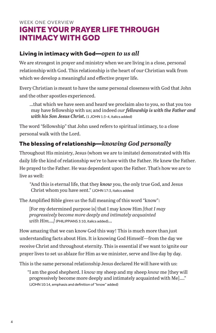#### WEEK ONE OVERVIEW IGNITE YOUR PRAYER LIFE THROUGH INTIMACY WITH GOD

#### Living in intimacy with God—*open to us all*

We are strongest in prayer and ministry when we are living in a close, personal relationship with God. This relationship is the heart of our Christian walk from which we develop a meaningful and effective prayer life.

Every Christian is meant to have the same personal closeness with God that John and the other apostles experienced.

…that which we have seen and heard we proclaim also to you, so that you too may have fellowship with us; and indeed *our fellowship is with the Father and with his Son Jesus Christ***.** (1 JOHN 1:3-4, italics added)

The word "fellowship" that John used refers to spiritual intimacy, to a close personal walk with the Lord.

#### The blessing of relationship—*knowing God personally*

Throughout His ministry, Jesus (whom we are to imitate) demonstrated with His daily life the kind of relationship we're to have with the Father. He knew the Father. He prayed to the Father. He was dependent upon the Father. That's how we are to live as well:

"And this is eternal life, that they *know* you, the only true God, and Jesus Christ whom you have sent." (JOHN 17:3, italics added)

The Amplified Bible gives us the full meaning of this word "know":

[For my determined purpose is] that I may know Him *[that I may progressively become more deeply and intimately acquainted with Him….]* (PHILIPPIANS 3:10, italics added)…

How amazing that we can know God this way! This is much more than just understanding facts about Him. It is knowing God Himself—from the day we receive Christ and throughout eternity. This is essential if we want to ignite our prayer lives to set us ablaze for Him as we minister, serve and live day by day.

This is the same personal relationship Jesus declared He will have with us:

"I am the good shepherd. I *know* my sheep and my sheep *know* me [they will progressively become more deeply and intimately acquainted with Me]…." (JOHN 10:14, emphasis and definition of "know" added)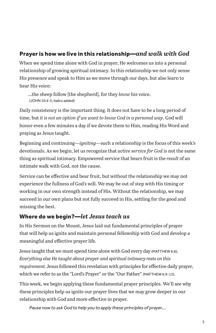#### Prayer is how we live in this relationship—*and walk with God*

When we spend time alone with God in prayer, He welcomes us into a personal relationship of growing spiritual intimacy. In this relationship we not only sense His presence and speak to Him as we move through our days, but also learn to hear His voice:

...the sheep follow [the shepherd], for they *know* his voice. (JOHN 10:4-5, italics added)

Daily consistency is the important thing. It does not have to be a long period of time, but *it is not an option if we want to know God in a personal way*. God will honor even a few minutes a day if we devote them to Him, reading His Word and praying as Jesus taught.

Beginning and continuing—*igniting*—such a relationship is the focus of this week's devotionals. As we begin, let us recognize that *active service for God* is not the same thing as spiritual intimacy. Empowered service that bears fruit is the *result* of an intimate walk with God, not the cause.

Service can be effective and bear fruit, but without the relationship we may not experience the fullness of God's will. We may be out of step with His timing or working in our own strength instead of His. Without the relationship, we may succeed in our own plans but not fully succeed in His, settling for the good and missing the best.

#### Where do we begin?—*let Jesus teach us*

In His Sermon on the Mount, Jesus laid out fundamental principles of prayer that will help us ignite and maintain personal fellowship with God and develop a meaningful and effective prayer life.

Jesus taught that we must spend time alone with God every day (MATTHEW 6:6). *Everything else He taught about prayer and spiritual intimacy rests on this requirement.* Jesus followed this revelation with principles for effective daily prayer, which we refer to as the "Lord's Prayer" or the "Our Father" (MATTHEW 6:9-13).

This week, we begin applying these fundamental prayer principles. We'll see why these principles help us ignite our prayer lives that we may grow deeper in our relationship with God and more effective in prayer.

*Pause now to ask God to help you to apply these principles of prayer….*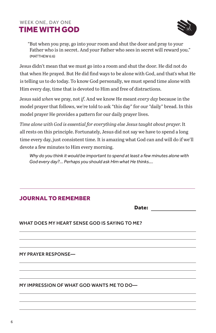#### WEEK ONE, DAY ONE TIME WITH GOD



"But when you pray, go into your room and shut the door and pray to your Father who is in secret. And your Father who sees in secret will reward you." (MATTHEW 6:6)

Jesus didn't mean that we must go into a room and shut the door. He did not do that when He prayed. But He did find ways to be alone with God, and that's what He is telling us to do today. To know God personally, we must spend time alone with Him every day, time that is devoted to Him and free of distractions.

Jesus said *when* we pray, not *if*. And we know He meant *every day* because in the model prayer that follows, we're told to ask "this day" for our "daily" bread. In this model prayer He provides a pattern for our daily prayer lives.

*Time alone with God is essential for everything else Jesus taught about prayer.* It all rests on this principle. Fortunately, Jesus did not say we have to spend a long time every day, just consistent time. It is amazing what God can and will do if we'll devote a few minutes to Him every morning.

*Why do you think it would be important to spend at least a few minutes alone with God every day?... Perhaps you should ask Him what He thinks….* 

#### JOURNAL TO REMEMBER

Date:

#### WHAT DOES MY HEART SENSE GOD IS SAYING TO ME?

MY PRAYER RESPONSE—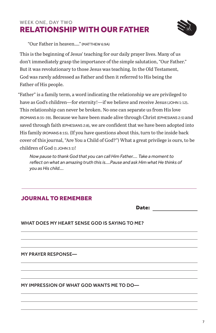#### WEEK ONE, DAY TWO RELATIONSHIP WITH OUR FATHER



"Our Father in heaven…." (MATTHEW 6:9A)

This is the beginning of Jesus' teaching for our daily prayer lives. Many of us don't immediately grasp the importance of the simple salutation, "Our Father." But it was revolutionary to those Jesus was teaching. In the Old Testament, God was rarely addressed as Father and then it referred to His being the Father of His people.

"Father" is a family term, a word indicating the relationship we are privileged to have as God's children—for eternity!—if we believe and receive Jesus (JOHN 1:12). This relationship can never be broken. No one can separate us from His love (ROMANS 8:35-39). Because we have been made alive through Christ (EPHESIANS 2:5) and saved through faith (EPHESIANS 2:8), we are confident that we have been adopted into His family (ROMANS 8:15). (If you have questions about this, turn to the inside back cover of this journal, "Are You a Child of God?") What a great privilege is ours, to be children of God (1 JOHN 3:1)!

*Now pause to thank God that you can call Him Father.... Take a moment to reflect on what an amazing truth this is....Pause and ask Him what He thinks of you as His child….* 

#### JOURNAL TO REMEMBER

Date:

#### WHAT DOES MY HEART SENSE GOD IS SAYING TO ME?

MY PRAYER RESPONSE—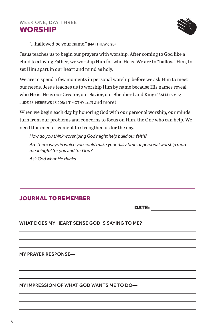

"...hallowed be your name." (MATTHEW 6:9B)

Jesus teaches us to begin our prayers with worship. After coming to God like a child to a loving Father, we worship Him for who He is. We are to "hallow" Him, to set Him apart in our heart and mind as holy.

We are to spend a few moments in personal worship before we ask Him to meet our needs. Jesus teaches us to worship Him by name because His names reveal who He is. He is our Creator, our Savior, our Shepherd and King (PSALM 139:13; JUDE 25; HEBREWS 13:20B; 1 TIMOTHY 1:17) and more!

When we begin each day by honoring God with our personal worship, our minds turn from our problems and concerns to focus on Him, the One who can help. We need this encouragement to strengthen us for the day.

*How do you think worshiping God might help build our faith?*

*Are there ways in which you could make your daily time of personal worship more meaningful for you and for God?* 

*Ask God what He thinks....* 

#### JOURNAL TO REMEMBER

DATE:

WHAT DOES MY HEART SENSE GOD IS SAYING TO ME?

MY PRAYER RESPONSE—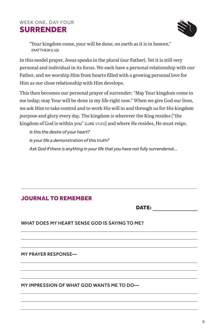#### WEEK ONE, DAY FOUR SURRENDER



"Your kingdom come, your will be done, on earth as it is in heaven." (MATTHEW 6:10)

In this model prayer, Jesus speaks in the plural (our Father). Yet it is still very personal and individual in its focus. We each have a personal relationship with our Father, and we worship Him from hearts filled with a growing personal love for Him as our close relationship with Him develops.

This then becomes our personal prayer of surrender: "May Your kingdom come in me today; may Your will be done in my life right now." When we give God our lives, we ask Him to take control and to work His will in and through us for His kingdom purpose and glory every day. The kingdom is wherever the King resides ["the kingdom of God is within you" (LUKE 17:21)] and where He resides, He must reign.

*Is this the desire of your heart? Is your life a demonstration of this truth? Ask God if there is anything in your life that you have not fully surrendered….* 

#### JOURNAL TO REMEMBER

DATE:

#### WHAT DOES MY HEART SENSE GOD IS SAYING TO ME?

MY PRAYER RESPONSE—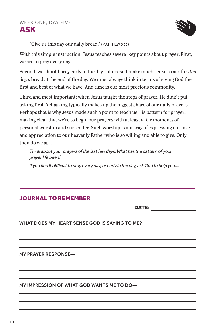

"Give us this day our daily bread." (MATTHEW 6:11)

With this simple instruction, Jesus teaches several key points about prayer. First, we are to pray every day.

Second, we should pray early in the day—it doesn't make much sense to ask for *this day's* bread at the end of the day. We must always think in terms of giving God the first and best of what we have. And time is our most precious commodity.

Third and most important: when Jesus taught the steps of prayer, He didn't put asking first. Yet asking typically makes up the biggest share of our daily prayers. Perhaps that is why Jesus made such a point to teach us His pattern for prayer, making clear that we're to begin our prayers with at least a few moments of personal worship and surrender. Such worship is our way of expressing our love and appreciation to our heavenly Father who is so willing and able to give. Only then do we ask.

*Think about your prayers of the last few days. What has the pattern of your prayer life been?*

*If you find it difficult to pray every day, or early in the day, ask God to help you....*

#### JOURNAL TO REMEMBER

DATE:

WHAT DOES MY HEART SENSE GOD IS SAYING TO ME?

MY PRAYER RESPONSE—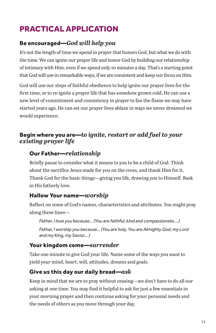## PRACTICAL APPLICATION

#### Be encouraged—*God will help you*

It's not the length of time we spend in prayer that honors God, but what we do with the time. We can ignite our prayer life and honor God by building our relationship of intimacy with Him, even if we spend only 10 minutes a day. That's a starting point that God will use in remarkable ways, if we are consistent and keep our focus on Him.

God will use our steps of faithful obedience to help ignite our prayer lives for the first time, or to re-ignite a prayer life that has somehow grown cold. He can use a new level of commitment and consistency in prayer to fan the flame we may have started years ago. He can set our prayer lives ablaze in ways we never dreamed we would experience.

#### Begin where you are—*to ignite, restart or add fuel to your existing prayer life*

#### Our Father—*relationship*

Briefly pause to consider what it means to you to be a child of God. Think about the sacrifice Jesus made for you on the cross, and thank Him for it. Thank God for the basic things—giving you life, drawing you to Himself. Bask in His fatherly love.

#### Hallow Your name—*worship*

Reflect on some of God's names, characteristics and attributes. You might pray along these lines—

*Father, I love you because… (You are faithful, kind and compassionate….)*

*Father, I worship you because… (You are holy, You are Almighty God, my Lord and my King, my Savior….)*

#### Your kingdom come—*surrender*

Take one minute to give God your life. Name some of the ways you want to yield your mind, heart, will, attitudes, dreams and goals.

#### Give us this day our daily bread—*ask*

Keep in mind that we are to pray without ceasing—we don't have to do all our asking at one time. You may find it helpful to ask for just a few essentials in your morning prayer and then continue asking for your personal needs and the needs of others as you move through your day.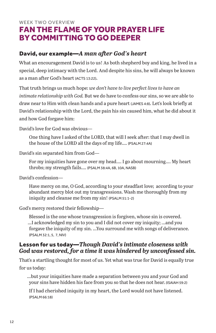#### WEEK TWO OVERVIEW FAN THE FLAME OF YOUR PRAYER LIFE BY COMMITTING TO GO DEEPER

#### David, our example—*A man after God's heart*

What an encouragement David is to us! As both shepherd boy and king, he lived in a special, deep intimacy with the Lord. And despite his sins, he will always be known as a man after God's heart (ACTS 13:22).

That truth brings us much hope: *we don't have to live perfect lives to have an intimate relationship with God.* But we do have to confess our sins, so we are able to draw near to Him with clean hands and a pure heart (JAMES 4:8). Let's look briefly at David's relationship with the Lord, the pain his sin caused him, what he did about it and how God forgave him:

David's love for God was obvious—

One thing have I asked of the LORD, that will I seek after: that I may dwell in the house of the LORD all the days of my life…. (PSALM 27:4A)

David's sin separated him from God—

For my iniquities have gone over my head…. I go about mourning…. My heart throbs; my strength fails…. (PSALM 38:4A, 6B, 10A, NASB)

David's confession—

Have mercy on me, O God, according to your steadfast love; according to your abundant mercy blot out my transgressions. Wash me thoroughly from my iniquity and cleanse me from my sin! (PSALM 51:1-2)

God's mercy restored their fellowship—

Blessed is the one whose transgression is forgiven, whose sin is covered. ...I acknowledged my sin to you and I did not cover my iniquity; ...and you forgave the iniquity of my sin. ...You surround me with songs of deliverance. (PSALM 32:1, 5, 7, NIV)

#### Lesson for us today—*Though David's intimate closeness with God was restored, for a time it was hindered by unconfessed sin.*

That's a startling thought for most of us. Yet what was true for David is equally true for us today:

…but your iniquities have made a separation between you and your God and your sins have hidden his face from you so that he does not hear. (ISAIAH 59:2)

If I had cherished iniquity in my heart, the Lord would not have listened. (PSALM 66:18)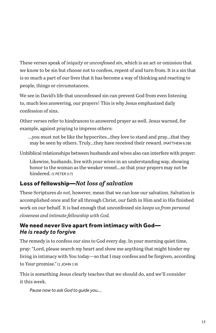These verses speak of *iniquity* or *unconfessed sin*, which is an act or omission that we know to be sin but choose not to confess, repent of and turn from. It is a sin that is so much a part of our lives that it has become a way of thinking and reacting to people, things or circumstances.

We see in David's life that unconfessed sin can prevent God from even listening to, much less answering, our prayers! This is why Jesus emphasized daily confession of sins.

Other verses refer to hindrances to answered prayer as well. Jesus warned, for example, against praying to impress others:

...you must not be like the hypocrites...they love to stand and pray...that they may be seen by others. Truly...they have received their reward. (MATTHEW 6:5B)

Unbiblical relationships between husbands and wives also can interfere with prayer:

Likewise, husbands, live with your wives in an understanding way, showing honor to the woman as the weaker vessel...so that your prayers may not be hindered. (1 PETER 3:7)

#### Loss of fellowship—*Not loss of salvation*

These Scriptures *do not*, however, mean that we can lose our salvation. Salvation is accomplished once and for all through Christ, our faith in Him and in His finished work on our behalf. It is bad enough that unconfessed sin *keeps us from personal closeness and intimate fellowship with God.* 

#### We need never live apart from intimacy with God— *He is ready to forgive*

The remedy is to confess our sins to God every day. In your morning quiet time, pray: "Lord, please search my heart and show me anything that might hinder my living in intimacy with You today—so that I may confess and be forgiven, according to Your promise." (1 JOHN 1:9)

This is something Jesus clearly teaches that we should do, and we'll consider it this week.

*Pause now to ask God to guide you….*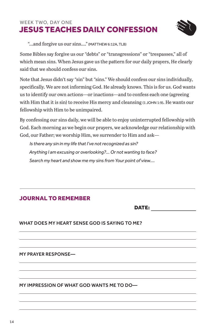#### WEEK TWO, DAY ONE JESUS TEACHES DAILY CONFESSION



"...and forgive us our sins…." (MATTHEW 6:12A, TLB)

Some Bibles say forgive us our "debts" or "transgressions" or "trespasses," all of which mean sins. When Jesus gave us the pattern for our daily prayers, He clearly said that we should confess our sins.

Note that Jesus didn't say "sin" but "sins." We should confess our sins individually, specifically. We are not informing God. He already knows. This is for us. God wants us to identify our own actions—or inactions—and to confess each one (agreeing with Him that it is sin) to receive His mercy and cleansing (1 JOHN 1:9). He wants our fellowship with Him to be unimpaired.

By confessing our sins daily, we will be able to enjoy uninterrupted fellowship with God. Each morning as we begin our prayers, we acknowledge our relationship with God, our Father; we worship Him, we surrender to Him and ask—

*Is there any sin in my life that I've not recognized as sin? Anything I am excusing or overlooking?... Or not wanting to face? Search my heart and show me my sins from Your point of view....*

#### JOURNAL TO REMEMBER

DATE:

WHAT DOES MY HEART SENSE GOD IS SAYING TO ME?

MY PRAYER RESPONSE—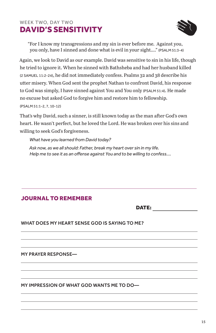#### WEEK TWO, DAY TWO DAVID'S SENSITIVITY



"For I know my transgressions and my sin is ever before me. Against you, you only, have I sinned and done what is evil in your sight…." (PSALM 51:3-4)

Again, we look to David as our example. David was sensitive to sin in his life, though he tried to ignore it. When he sinned with Bathsheba and had her husband killed (2 SAMUEL 11:2-24), he did not immediately confess. Psalms 32 and 38 describe his utter misery. When God sent the prophet Nathan to confront David, his response to God was simply, I have sinned against You and You only (PSALM 51:4). He made no excuse but asked God to forgive him and restore him to fellowship. (PSALM 51:1-2, 7, 10-12)

That's why David, such a sinner, is still known today as the man after God's own heart. He wasn't perfect, but he loved the Lord. He was broken over his sins and willing to seek God's forgiveness.

*What have you learned from David today?*

*Ask now, as we all should: Father, break my heart over sin in my life. Help me to see it as an offense against You and to be willing to confess....*

#### JOURNAL TO REMEMBER

DATE:

#### WHAT DOES MY HEART SENSE GOD IS SAYING TO ME?

MY PRAYER RESPONSE—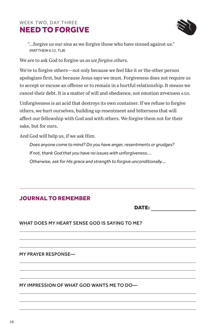#### WEEK TWO, DAY THREE NEED TO FORGIVE



"...forgive us our sins as we forgive those who have sinned against us." (MATTHEW 6:12, TLB)

We are to ask God to forgive us *as we forgive others.*

We're to forgive others—not only because we feel like it or the other person apologizes first, but because Jesus says we must. Forgiveness does not require us to accept or excuse an offense or to remain in a hurtful relationship. It means we cancel their debt. It is a matter of will and obedience, not emotion (EPHESIANS 4:32).

Unforgiveness is an acid that destroys its own container. If we refuse to forgive others, we hurt ourselves, building up resentment and bitterness that will affect our fellowship with God and with others. We forgive them not for their sake, but for ours.

And God will help us, if we ask Him.

*Does anyone come to mind? Do you have anger, resentments or grudges? If not, thank God that you have no issues with unforgiveness.... Otherwise, ask for His grace and strength to forgive unconditionally....*

#### JOURNAL TO REMEMBER

DATE:

WHAT DOES MY HEART SENSE GOD IS SAYING TO ME?

MY PRAYER RESPONSE—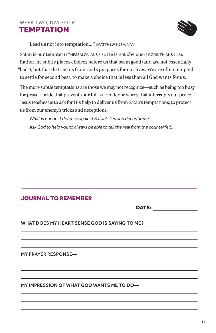#### WEEK TWO, DAY FOUR **TEMPTATION**



"Lead us not into temptation…." (MATTHEW 6:13A, NIV)

Satan is our tempter (1 THESSALONIANS 3:5). He is not obvious (2 CORINTHIANS 11:3). Rather, he subtly places choices before us that seem good (and are not essentially "bad"), but that distract us from God's purposes for our lives. We are often tempted to settle for second best, to make a choice that is less than all God wants for us.

The more subtle temptations are those we may not recognize—such as being too busy for prayer, pride that prevents our full surrender or worry that interrupts our peace. Jesus teaches us to ask for His help to deliver us from Satan's temptations, to protect us from our enemy's tricks and deceptions.

*What is our best defense against Satan's lies and deceptions? Ask God to help you to always be able to tell the real from the counterfeit....*

#### JOURNAL TO REMEMBER

DATE:

#### WHAT DOES MY HEART SENSE GOD IS SAYING TO ME?

MY PRAYER RESPONSE—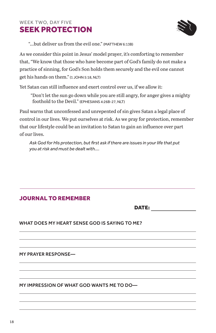#### WEEK TWO, DAY FIVE SEEK PROTECTION



"...but deliver us from the evil one." (MATTHEW 6:13B)

As we consider this point in Jesus' model prayer, it's comforting to remember that, "We know that those who have become part of God's family do not make a practice of sinning, for God's Son holds them securely and the evil one cannot get his hands on them." (1 JOHN 5:18, NLT)

Yet Satan can still influence and exert control over us, if we allow it:

"Don't let the sun go down while you are still angry, for anger gives a mighty foothold to the Devil." (EPHESIANS 4:26B-27, NLT)

Paul warns that unconfessed and unrepented of sin gives Satan a legal place of control in our lives. We put ourselves at risk. As we pray for protection, remember that our lifestyle could be an invitation to Satan to gain an influence over part of our lives.

*Ask God for His protection, but first ask if there are issues in your life that put you at risk and must be dealt with....*

#### JOURNAL TO REMEMBER

DATE:

WHAT DOES MY HEART SENSE GOD IS SAYING TO ME?

MY PRAYER RESPONSE—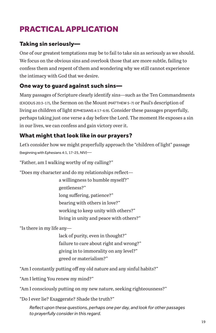## PRACTICAL APPLICATION

#### Taking sin seriously—

One of our greatest temptations may be to fail to take sin as seriously as we should. We focus on the obvious sins and overlook those that are more subtle, failing to confess them and repent of them and wondering why we still cannot experience the intimacy with God that we desire.

#### One way to guard against such sins—

Many passages of Scripture clearly identify sins—such as the Ten Commandments (EXODUS 20:3-17), the Sermon on the Mount (MATTHEW 5-7) or Paul's description of living as children of light (EPHESIANS 4:17-6:9). Consider these passages prayerfully, perhaps taking just one verse a day before the Lord. The moment He exposes a sin in our lives, we can confess and gain victory over it.

#### What might that look like in our prayers?

Let's consider how we might prayerfully approach the "children of light" passage (beginning with Ephesians 4:1, 17-25, NIV)—

"Father, am I walking worthy of my calling?"

"Does my character and do my relationships reflect—

 a willingness to humble myself?" gentleness?" long suffering, patience?" bearing with others in love?" working to keep unity with others?" living in unity and peace with others?"

"Is there in my life any—

 lack of purity, even in thought?" failure to care about right and wrong?" giving in to immorality on any level?" greed or materialism?"

"Am I constantly putting off my old nature and any sinful habits?"

"Am I letting You renew my mind?"

"Am I consciously putting on my new nature, seeking righteousness?"

"Do I ever lie? Exaggerate? Shade the truth?"

*Reflect upon these questions, perhaps one per day, and look for other passages to prayerfully consider in this regard.*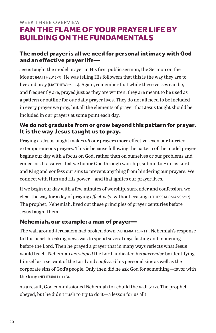#### WEEK THREE OVERVIEW FAN THE FLAME OF YOUR PRAYER LIFE BY BUILDING ON THE FUNDAMENTALS

#### The model prayer is all we need for personal intimacy with God and an effective prayer life—

Jesus taught the model prayer in His first public sermon, the Sermon on the Mount (MATTHEW 5-7). He was telling His followers that this is the way they are to live and pray (MATTHEW 6:9-13). Again, remember that while these verses can be, and frequently are, prayed just as they are written, they are meant to be used as a pattern or outline for our daily prayer lives. They do not all need to be included in every prayer we pray, but all the elements of prayer that Jesus taught should be included in our prayers at some point each day.

#### We do not graduate from or grow beyond this pattern for prayer. It is the way Jesus taught us to pray.

Praying as Jesus taught makes *all* our prayers more effective, even our hurried extemporaneous prayers. This is because following the pattern of the model prayer begins our day with a focus on God, rather than on ourselves or our problems and concerns. It assures that we honor God through worship, submit to Him as Lord and King and confess our sins to prevent anything from hindering our prayers. We connect with Him and His power—and that ignites our prayer lives.

If we begin our day with a few minutes of worship, surrender and confession, we clear the way for a day of praying *effectively*, without ceasing (1 THESSALONIANS 5:17). The prophet, Nehemiah, lived out these principles of prayer centuries before Jesus taught them.

#### Nehemiah, our example: a man of prayer—

The wall around Jerusalem had broken down (NEHEMIAH 1:4-11). Nehemiah's response to this heart-breaking news was to spend several days fasting and mourning before the Lord. Then he prayed a prayer that in many ways reflects what Jesus would teach. Nehemiah *worshiped* the Lord, indicated his *surrender* by identifying himself as a servant of the Lord and *confessed* his personal sins as well as the corporate sins of God's people. Only then did he ask God for something—favor with the king (NEHEMIAH 1:11B).

As a result, God commissioned Nehemiah to rebuild the wall (2:12). The prophet obeyed, but he didn't rush to try to do it—a lesson for us all!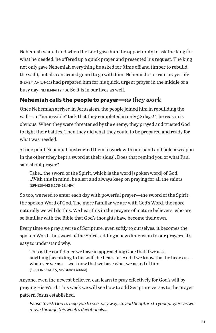Nehemiah waited and when the Lord gave him the opportunity to ask the king for what he needed, he offered up a quick prayer and presented his request. The king not only gave Nehemiah everything he asked for (time off and timber to rebuild the wall), but also an armed guard to go with him. Nehemiah's private prayer life (NEHEMIAH 1:4-11) had prepared him for his quick, urgent prayer in the middle of a busy day (NEHEMIAH 2:4B). So it is in our lives as well.

#### Nehemiah calls the people to prayer—*as they work*

Once Nehemiah arrived in Jerusalem, the people joined him in rebuilding the wall—an "impossible" task that they completed in only 52 days! The reason is obvious. When they were threatened by the enemy, they prayed and trusted God to fight their battles. Then they did what they could to be prepared and ready for what was needed.

At one point Nehemiah instructed them to work with one hand and hold a weapon in the other (they kept a sword at their sides). Does that remind you of what Paul said about prayer?

Take...the sword of the Spirit, which is the word [spoken word] of God. ...With this in mind, be alert and always keep on praying for all the saints. (EPHESIANS 6:17B-18, NIV)

So too, we need to enter each day with powerful prayer—the sword of the Spirit, the spoken Word of God. The more familiar we are with God's Word, the more naturally we will do this. We hear this in the prayers of mature believers, who are so familiar with the Bible that God's thoughts have become their own.

Every time we pray a verse of Scripture, even softly to ourselves, it becomes the spoken Word, the sword of the Spirit, adding a new dimension to our prayers. It's easy to understand why:

This is the confidence we have in approaching God: that if we ask anything [according to his will]*,* he hears us. And if we know that he hears us whatever we ask—we know that we have what we asked of him. (1 JOHN 5:14-15, NIV, italics added)

Anyone, even the newest believer, can learn to pray effectively for God's will by praying His Word. This week we will see how to add Scripture verses to the prayer pattern Jesus established.

*Pause to ask God to help you to see easy ways to add Scripture to your prayers as we move through this week's devotionals....*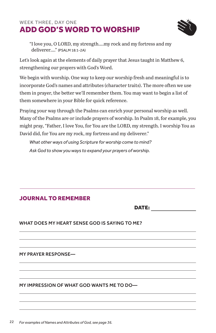#### WEEK THREE, DAY ONE ADD GOD'S WORD TO WORSHIP



"I love you, O LORD, my strength….my rock and my fortress and my deliverer…." (PSALM 18:1-2A)

Let's look again at the elements of daily prayer that Jesus taught in Matthew 6, strengthening our prayers with God's Word.

We begin with worship. One way to keep our worship fresh and meaningful is to incorporate God's names and attributes (character traits). The more often we use them in prayer, the better we'll remember them. You may want to begin a list of them somewhere in your Bible for quick reference.

Praying your way through the Psalms can enrich your personal worship as well. Many of the Psalms are or include prayers of worship. In Psalm 18, for example, you might pray, "Father, I love You, for You are the LORD, my strength. I worship You as David did, for You are my rock, my fortress and my deliverer."

*What other ways of using Scripture for worship come to mind? Ask God to show you ways to expand your prayers of worship.*

#### JOURNAL TO REMEMBER

DATE:

#### WHAT DOES MY HEART SENSE GOD IS SAYING TO ME?

MY PRAYER RESPONSE—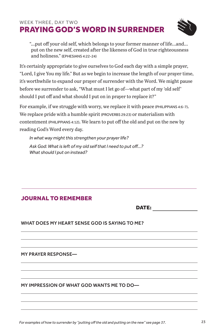#### WEEK THREE, DAY TWO PRAYING GOD'S WORD IN SURRENDER



"...put off your old self, which belongs to your former manner of life...and... put on the new self, created after the likeness of God in true righteousness and holiness." (EPHESIANS 4:22-24)

It's certainly appropriate to give ourselves to God each day with a simple prayer, "Lord, I give You my life." But as we begin to increase the length of our prayer time, it's worthwhile to expand our prayer of surrender with the Word. We might pause before we surrender to ask, "What must I let go of—what part of my 'old self' should I put off and what should I put on in prayer to replace it?"

For example, if we struggle with worry, we replace it with peace (PHILIPPIANS 4:6-7). We replace pride with a humble spirit (PROVERBS 29:23) or materialism with contentment (PHILIPPIANS 4:12). We learn to put off the old and put on the new by reading God's Word every day.

*In what way might this strengthen your prayer life? Ask God: What is left of my old self that I need to put off...? What should I put on instead?*

#### JOURNAL TO REMEMBER

DATE:

#### WHAT DOES MY HEART SENSE GOD IS SAYING TO ME?

MY PRAYER RESPONSE—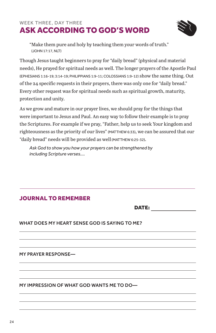#### WEEK THREE, DAY THREE ASK ACCORDING TO GOD'S WORD



"Make them pure and holy by teaching them your words of truth." (JOHN 17:17, NLT)

Though Jesus taught beginners to pray for "daily bread" (physical and material needs), He prayed for spiritual needs as well. The longer prayers of the Apostle Paul (EPHESIANS 1:16-19; 3:14-19; PHILIPPIANS 1:9-11; COLOSSIANS 1:9-12) show the same thing. Out of the 24 specific requests in their prayers, there was only one for "daily bread." Every other request was for spiritual needs such as spiritual growth, maturity, protection and unity.

As we grow and mature in our prayer lives, we should pray for the things that were important to Jesus and Paul. An easy way to follow their example is to pray the Scriptures. For example if we pray, "Father, help us to seek Your kingdom and righteousness as the priority of our lives" (MATTHEW 6:33), we can be assured that our "daily bread" needs will be provided as well (MATTHEW 6:25-32).

*Ask God to show you how your prayers can be strengthened by including Scripture verses....*

#### JOURNAL TO REMEMBER

DATE:

WHAT DOES MY HEART SENSE GOD IS SAYING TO ME?

MY PRAYER RESPONSE—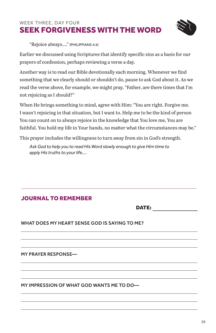#### WEEK THREE, DAY FOUR SEEK FORGIVENESS WITH THE WORD



"Rejoice always…." (PHILIPPIANS 4:4)

Earlier we discussed using Scriptures that identify specific sins as a basis for our prayers of confession, perhaps reviewing a verse a day.

Another way is to read our Bible devotionally each morning. Whenever we find something that we clearly should or shouldn't do, pause to ask God about it. As we read the verse above, for example, we might pray, "Father, are there times that I'm not rejoicing as I should?"

When He brings something to mind, agree with Him: "You are right. Forgive me. I wasn't rejoicing in that situation, but I want to. Help me to be the kind of person You can count on to always rejoice in the knowledge that You love me, You are faithful. You hold my life in Your hands, no matter what the circumstances may be."

This prayer includes the willingness to turn away from sin in God's strength.

*Ask God to help you to read His Word slowly enough to give Him time to apply His truths to your life....*

#### JOURNAL TO REMEMBER

DATE:

#### WHAT DOES MY HEART SENSE GOD IS SAYING TO ME?

MY PRAYER RESPONSE—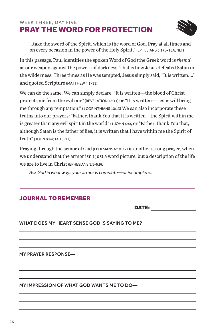#### WEEK THREE, DAY FIVE PRAY THE WORD FOR PROTECTION



"...take the sword of the Spirit, which is the word of God. Pray at all times and on every occasion in the power of the Holy Spirit." (EPHESIANS 6:17B-18A, NLT)

In this passage, Paul identifies the spoken Word of God (the Greek word is *rhema*) as our weapon against the powers of darkness. That is how Jesus defeated Satan in the wilderness. Three times as He was tempted, Jesus simply said, "It is written…." and quoted Scripture (MATTHEW 4:1-11).

We can do the same. We can simply declare, "It is written—the blood of Christ protects me from the evil one" (REVELATION 12:11) or "It is written— Jesus will bring me through any temptation." (1 CORINTHIANS 10:13) We can also incorporate these truths into our prayers: "Father, thank You that it is written—the Spirit within me is greater than any evil spirit in the world" (1 JOHN 4:4), or "Father, thank You that, although Satan is the father of lies, it is written that I have within me the Spirit of truth" (JOHN 8:44; 14:16-17).

Praying through the armor of God (EPHESIANS 6:10-17) is another strong prayer, when we understand that the armor isn't just a word picture, but a description of the life we are to live in Christ (EPHESIANS 1:1-6:9).

*Ask God in what ways your armor is complete—or incomplete....*

#### JOURNAL TO REMEMBER

DATE:

WHAT DOES MY HEART SENSE GOD IS SAYING TO ME?

MY PRAYER RESPONSE—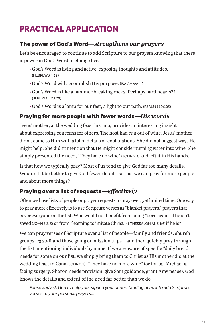## PRACTICAL APPLICATION

#### The power of God's Word—*strengthens our prayers*

Let's be encouraged to continue to add Scripture to our prayers knowing that there is power in God's Word to change lives:

- God's Word is living and active, exposing thoughts and attitudes. (HEBREWS 4:12)
- God's Word will accomplish His purpose. (ISAIAH 55:11)
- God's Word is like a hammer breaking rocks [Perhaps hard hearts?!] (JEREMIAH 23:29)
- God's Word is a lamp for our feet, a light to our path. (PSALM 119:105)

#### Praying for more people with fewer words—*His words*

Jesus' mother, at the wedding feast in Cana, provides an interesting insight about expressing concerns for others. The host had run out of wine. Jesus' mother didn't come to Him with a lot of details or explanations. She did not suggest ways He might help. She didn't mention that He might consider turning water into wine. She simply presented the need, "They have no wine" (JOHN 2:3) and left it in His hands.

Is that how we typically pray? Most of us tend to give God far too many details. Wouldn't it be better to give God fewer details, so that we can pray for more people and about more things?

#### Praying over a list of requests—*effectively*

Often we have lists of people or prayer requests to pray over, yet limited time. One way to pray more effectively is to use Scripture verses as "blanket prayers," prayers that cover everyone on the list. Who would not benefit from being "born again" if he isn't saved (JOHN 3:3, 5) or from "learning to imitate Christ" (1 THESSALONIANS 1:6) if he is?

We can pray verses of Scripture over a list of people—family and friends, church groups, e3 staff and those going on mission trips—and then quickly pray through the list, mentioning individuals by name. If we are aware of specific "daily bread" needs for some on our list, we simply bring them to Christ as His mother did at the wedding feast in Cana (JOHN 2:1). "They have no more wine" (or for us: Michael is facing surgery, Sharon needs provision, give Sam guidance, grant Amy peace). God knows the details and extent of the need far better than we do.

*Pause and ask God to help you expand your understanding of how to add Scripture verses to your personal prayers....*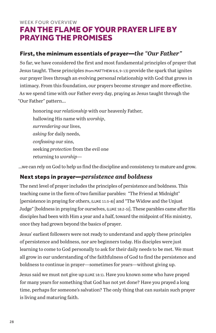#### WEEK FOUR OVERVIEW FAN THE FLAME OF YOUR PRAYER LIFE BY PRAYING THE PROMISES

#### First, the minimum essentials of prayer—*the "Our Father"*

So far, we have considered the first and most fundamental principles of prayer that Jesus taught. These principles (from MATTHEW 6:6, 9-13) provide the spark that ignites our prayer lives through an evolving personal relationship with God that grows in intimacy. From this foundation, our prayers become stronger and more effective. As we spend time with our Father every day, praying as Jesus taught through the "Our Father" pattern...

honoring our *relationship* with our heavenly Father, hallowing His name with *worship*, *surrendering* our lives, *asking* for daily needs, *confessing* our sins, seeking *protection* from the evil one returning to *worship*—

...we can rely on God to help us find the discipline and consistency to mature and grow.

#### Next steps in prayer—*persistence and boldness*

The next level of prayer includes the principles of persistence and boldness. This teaching came in the form of two familiar parables: "The Friend at Midnight" [persistence in praying for others, (LUKE 11:5-8)] and "The Widow and the Unjust Judge" [boldness in praying for ourselves, (LUKE 18:2-5)]. These parables came after His disciples had been with Him a year and a half, toward the midpoint of His ministry, once they had grown beyond the basics of prayer.

Jesus' earliest followers were not ready to understand and apply these principles of persistence and boldness, nor are beginners today. His disciples were just learning to come to God personally to ask for their daily needs to be met. We must all grow in our understanding of the faithfulness of God to find the persistence and boldness to continue in prayer—sometimes for years—without giving up.

Jesus said we must not give up (LUKE 18:1). Have you known some who have prayed for many years for something that God has not yet done? Have you prayed a long time, perhaps for someone's salvation? The only thing that can sustain such prayer is living and maturing faith.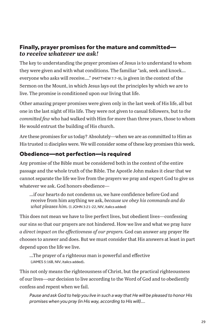#### Finally, prayer promises for the mature and committed *to receive whatever we ask!*

The key to understanding the prayer promises of Jesus is to understand to whom they were given and with what conditions. The familiar "ask, seek and knock... everyone who asks will receive…." (MATTHEW 7:7-9), is given in the context of the Sermon on the Mount, in which Jesus lays out the principles by which we are to live. The promise is conditioned upon our living that life.

Other amazing prayer promises were given only in the last week of His life, all but one in the last night of His life. They were not given to casual followers, but to *the committed few* who had walked with Him for more than three years, those to whom He would entrust the building of His church.

Are these promises for us today? Absolutely—when we are as committed to Him as His trusted 11 disciples were. We will consider some of these key promises this week.

#### Obedience—not perfection—is required

Any promise of the Bible must be considered both in the context of the entire passage and the whole truth of the Bible. The Apostle John makes it clear that we cannot separate the life we live from the prayers we pray and expect God to give us whatever we ask. God honors obedience—

...if our hearts do not condemn us, we have confidence before God and receive from him anything we ask, *because we obey his commands and do what pleases him.* (1 JOHN 3:21-22, NIV, italics added)

This does not mean we have to live perfect lives, but obedient lives—confessing our sins so that our prayers are not hindered. How we live and what we pray *have a direct impact on the effectiveness of our prayers.* God can answer any prayer He chooses to answer and does. But we must consider that His answers at least in part depend upon the life we live.

...The prayer of a righteous man is powerful and effective (JAMES 5:16B, NIV, italics added).

This not only means the righteousness of Christ, but the practical righteousness of our lives—our decision to live according to the Word of God and to obediently confess and repent when we fail.

*Pause and ask God to help you live in such a way that He will be pleased to honor His promises when you pray (in His way, according to His will)....*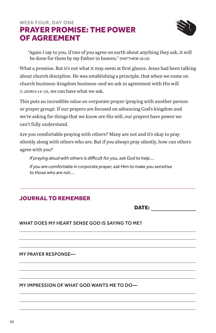#### WEEK FOUR, DAY ONE PRAYER PROMISE: THE POWER OF AGREEMENT



"Again I say to you, if two of you agree on earth about anything they ask, it will be done for them by my Father in heaven." (MATTHEW 18:19)

What a promise. But it's not what it may seem at first glance. Jesus had been talking about church discipline. He was establishing a principle, that when we come on church business–kingdom business–and we ask in agreement with His will (1 JOHN 5:14-15), we can have what we ask.

This puts an incredible value on corporate prayer (praying with another person or prayer group). If our prayers are focused on advancing God's kingdom and we're asking for things that we know are His will, our prayers have power we can't fully understand.

Are you comfortable praying with others? Many are not and it's okay to pray silently along with others who are. But if you always pray silently, how can others agree with you?

*If praying aloud with others is difficult for you, ask God to help.... If you are comfortable in corporate prayer, ask Him to make you sensitive to those who are not....*

#### JOURNAL TO REMEMBER

DATE:

WHAT DOES MY HEART SENSE GOD IS SAYING TO ME?

MY PRAYER RESPONSE—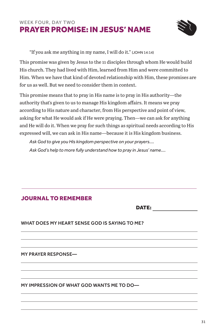#### WEEK FOUR, DAY TWO PRAYER PROMISE: IN JESUS' NAME



"If you ask me anything in my name, I will do it." (JOHN 14:14)

This promise was given by Jesus to the 11 disciples through whom He would build His church. They had lived with Him, learned from Him and were committed to Him. When we have that kind of devoted relationship with Him, these promises are for us as well. But we need to consider them in context.

This promise means that to pray in His name is to pray in His authority—the authority that's given to us to manage His kingdom affairs. It means we pray according to His nature and character, from His perspective and point of view, asking for what He would ask if He were praying. Then—we can ask for anything and He will do it. When we pray for such things as spiritual needs according to His expressed will, we can ask in His name—because it is His kingdom business.

*Ask God to give you His kingdom perspective on your prayers.... Ask God's help to more fully understand how to pray in Jesus' name....*

#### JOURNAL TO REMEMBER

DATE:

#### WHAT DOES MY HEART SENSE GOD IS SAYING TO ME?

MY PRAYER RESPONSE—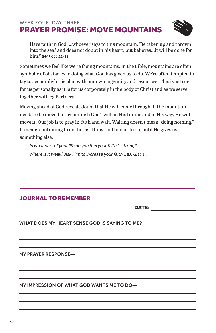#### WEEK FOUR, DAY THREE PRAYER PROMISE: MOVE MOUNTAINS



"Have faith in God. ...whoever says to this mountain, 'Be taken up and thrown into the sea,' and does not doubt in his heart, but believes...it will be done for him." (MARK 11:22-23)

Sometimes we feel like we're facing mountains. In the Bible, mountains are often symbolic of obstacles to doing what God has given us to do. We're often tempted to try to accomplish His plan with our own ingenuity and resources. This is as true for us personally as it is for us corporately in the body of Christ and as we serve together with e3 Partners.

Moving ahead of God reveals doubt that He will come through. If the mountain needs to be moved to accomplish God's will, in His timing and in His way, He will move it. Our job is to pray in faith and wait. Waiting doesn't mean "doing nothing." It means continuing to do the last thing God told us to do, until He gives us something else.

*In what part of your life do you feel your faith is strong? Where is it weak? Ask Him to increase your faith...* (LUKE 17:5)*.*

#### JOURNAL TO REMEMBER

DATE:

WHAT DOES MY HEART SENSE GOD IS SAYING TO ME?

MY PRAYER RESPONSE—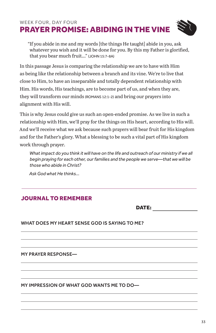#### WEEK FOUR, DAY FOUR PRAYER PROMISE: ABIDING IN THE VINE

"If you abide in me and my words [the things He taught] abide in you, ask whatever you wish and it will be done for you. By this my Father is glorified, that you bear much fruit..." (JOHN 15:7-8A)

In this passage Jesus is comparing the relationship we are to have with Him as being like the relationship between a branch and its vine. We're to live that close to Him, to have an inseparable and totally dependent relationship with Him. His words, His teachings, are to become part of us, and when they are, they will transform our minds (ROMANS 12:1-2) and bring our prayers into alignment with His will.

This is why Jesus could give us such an open-ended promise. As we live in such a relationship with Him, we'll pray for the things on His heart, according to His will. And we'll receive what we ask because such prayers will bear fruit for His kingdom and for the Father's glory. What a blessing to be such a vital part of His kingdom work through prayer.

What impact do you think it will have on the life and outreach of our ministry if we all *begin praying for each other, our families and the people we serve—that we will be those who abide in Christ?*

*Ask God what He thinks...*

#### JOURNAL TO REMEMBER

DATE:

#### WHAT DOES MY HEART SENSE GOD IS SAYING TO ME?

MY PRAYER RESPONSE—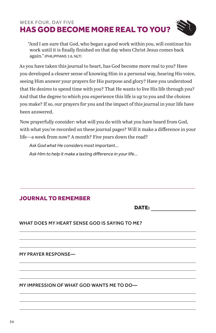#### WEEK FOUR, DAY FIVE HAS GOD BECOME MORE REAL TO YOU?

"And I am sure that God, who began a good work within you, will continue his work until it is finally finished on that day when Christ Jesus comes back again." (PHILIPPIANS 1:6, NLT)

As you have taken this journal to heart, has God become more real to you? Have you developed a clearer sense of knowing Him in a personal way, hearing His voice, seeing Him answer your prayers for His purpose and glory? Have you understood that He desires to spend time with you? That He wants to live His life through you? And that the degree to which you experience this life is up to you and the choices you make? If so, our prayers for you and the impact of this journal in your life have been answered.

Now prayerfully consider: what will you do with what you have heard from God, with what you've recorded on these journal pages? Will it make a difference in your life—a week from now? A month? Five years down the road?

*Ask God what He considers most important... Ask Him to help it make a lasting difference in your life...*

#### JOURNAL TO REMEMBER

DATE:

WHAT DOES MY HEART SENSE GOD IS SAYING TO ME?

MY PRAYER RESPONSE—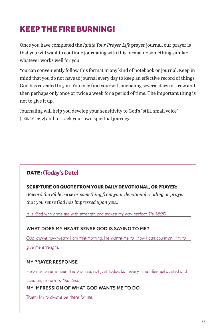## KEEP THE FIRE BURNING!

Once you have completed the *Ignite Your Prayer Life* prayer journal, our prayer is that you will want to continue journaling with this format or something similar whatever works well for you.

You can conveniently follow this format in any kind of notebook or journal. Keep in mind that you do not have to journal every day to keep an effective record of things God has revealed to you. You may find yourself journaling several days in a row and then perhaps only once or twice a week for a period of time. The important thing is not to give it up.

Journaling will help you develop your sensitivity to God's "still, small voice" (1 KINGS 19:12) and to track your own spiritual journey.

#### DATE: (Today's Date)

#### SCRIPTURE OR QUOTE FROM YOUR DAILY DEVOTIONAL, OR PRAYER:

*(Record the Bible verse or something from your devotional reading or prayer that you sense God has impressed upon you.)*

It is God who arms me with strength and makes my way perfect. Ps. 18:32.

#### WHAT DOES MY HEART SENSE GOD IS SAYING TO ME?

God knows how weary I am this morning. He wants me to know I can count on Him to

give me strength.

#### MY PRAYER RESPONSE

Help me to remember this promise, not just today, but every time I feel exhausted and

used up, to turn to You, God.

MY IMPRESSION OF WHAT GOD WANTS ME TO DO

Trust Him to always be there for me.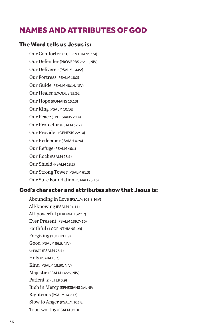## NAMES AND ATTRIBUTES OF GOD

#### The Word tells us Jesus is:

Our Comforter (2 CORINTHIANS 1:4) Our Defender (PROVERBS 23:11, NIV) Our Deliverer (PSALM 144:2) Our Fortress (PSALM 18:2) Our Guide (PSALM 48:14, NIV) Our Healer (EXODUS 15:26) Our Hope (ROMANS 15:13) Our King (PSALM 10:16) Our Peace (EPHESIANS 2:14) Our Protector (PSALM 32:7) Our Provider (GENESIS 22:14) Our Redeemer (ISAIAH 47:4) Our Refuge (PSALM 46:1) Our Rock (PSALM 28:1) Our Shield (PSALM 18:2) Our Strong Tower (PSALM 61:3)

### Our Sure Foundation (ISAIAH 28:16)

#### God's character and attributes show that Jesus is:

Abounding in Love (PSALM 103:8, NIV) All-knowing (PSALM 94:11) All-powerful (JEREMIAH 32:17) Ever Present (PSALM 139:7-10) Faithful (1 CORINTHIANS 1:9) Forgiving (1 JOHN 1:9) Good (PSALM 86:5, NIV) Great (PSALM 76:1) Holy (ISAIAH 6:3) Kind (PSALM 18:50, NIV) Majestic (PSALM 145:5, NIV) Patient (2 PETER 3:9) Rich in Mercy (EPHESIANS 2:4, NIV) Righteous (PSALM 145:17) Slow to Anger (PSALM 103:8) Trustworthy (PSALM 9:10)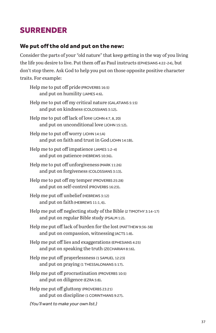## SURRENDER

#### We put off the old and put on the new:

Consider the parts of your "old nature" that keep getting in the way of you living the life you desire to live. Put them off as Paul instructs (EPHESIANS 4:22-24), but don't stop there. Ask God to help you put on those opposite positive character traits. For example:

- Help me to put off pride (PROVERBS 16:5) and put on humility (JAMES 4:6). Help me to put off my critical nature (GALATIANS 5:15) and put on kindness (COLOSSIANS 3:12). Help me to put off lack of love (JOHN 4:7, 8, 20) and put on unconditional love (JOHN 15:12). Help me to put off worry (JOHN 14:1A) and put on faith and trust in God (JOHN 14:1B). Help me to put off impatience (JAMES 1:2-4) and put on patience (HEBREWS 10:36). Help me to put off unforgiveness (MARK 11:26) and put on forgiveness (COLOSSIANS 3:13). Help me to put off my temper (PROVERBS 25:28) and put on self-control (PROVERBS 16:23). Help me put off unbelief (HEBREWS 3:12) and put on faith (HEBREWS 11:1, 6). and put on regular Bible study (PSALM 1:2). and put on compassion, witnessing (ACTS 1:8). Help me put off lies and exaggerations (EPHESIANS 4:25) and put on speaking the truth (ZECHARIAH 8:16). Help me put off prayerlessness (1 SAMUEL 12:23) and put on praying (1 THESSALONIANS 5:17). Help me put off procrastination (PROVERBS 10:5) and put on diligence (EZRA 5:8). Help me put off gluttony (PROVERBS 23:21)
- Help me put off neglecting study of the Bible (2 TIMOTHY 3:14-17)
- Help me put off lack of burden for the lost (MATTHEW 9:36-38)

and put on discipline (1 CORINTHIANS 9:27).

*(You'll want to make your own list.)*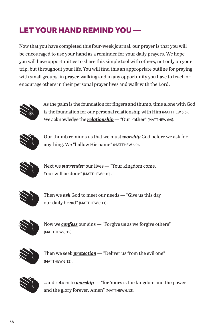## LET YOUR HAND REMIND YOU —

Now that you have completed this four-week journal, our prayer is that you will be encouraged to use your hand as a reminder for your daily prayers. We hope you will have opportunities to share this simple tool with others, not only on your trip, but throughout your life. You will find this an appropriate outline for praying with small groups, in prayer-walking and in any opportunity you have to teach or encourage others in their personal prayer lives and walk with the Lord.



As the palm is the foundation for fingers and thumb, time alone with God is the foundation for our personal relationship with Him (MATTHEW 6:6). We acknowledge the **relationship** - "Our Father" (MATTHEW 6:9).



Our thumb reminds us that we must *worship* God before we ask for anything. We "hallow His name" (MATTHEW 6:9).



Next we *surrender* our lives — "Your kingdom come, Your will be done" (MATTHEW 6:10).



Then we *ask* God to meet our needs — "Give us this day our daily bread" (MATTHEW 6:11).



Now we *confess* our sins — "Forgive us as we forgive others" (MATTHEW 6:12).



Then we seek *protection* — "Deliver us from the evil one" (MATTHEW 6:13).



...and return to *worship* — "for Yours is the kingdom and the power and the glory forever. Amen" (MATTHEW 6:13).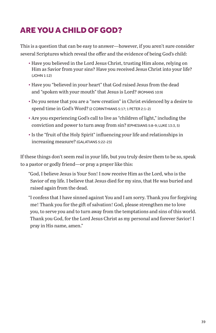## ARE YOU A CHILD OF GOD?

This is a question that can be easy to answer—however, if you aren't sure consider several Scriptures which reveal the offer and the evidence of being God's child:

- Have you believed in the Lord Jesus Christ, trusting Him alone, relying on Him as Savior from your sins? Have you received Jesus Christ into your life? (JOHN 1:12)
- Have you "believed in your heart" that God raised Jesus from the dead and "spoken with your mouth" that Jesus is Lord? (ROMANS 10:9)
- Do you sense that you are a "new creation" in Christ evidenced by a desire to spend time in God's Word? (2 CORINTHIANS 5:17; 1 PETER 2:1-2)
- Are you experiencing God's call to live as "children of light," including the conviction and power to turn away from sin? (EPHESIANS 5:8-9; LUKE 13:3, 5)
- Is the "fruit of the Holy Spirit" influencing your life and relationships in increasing measure? (GALATIANS 5:22-23)

If these things don't seem real in your life, but you truly desire them to be so, speak to a pastor or godly friend—or pray a prayer like this:

"God, I believe Jesus is Your Son! I now receive Him as the Lord, who is the Savior of my life. I believe that Jesus died for my sins, that He was buried and raised again from the dead.

"I confess that I have sinned against You and I am sorry. Thank you for forgiving me! Thank you for the gift of salvation! God, please strengthen me to love you, to serve you and to turn away from the temptations and sins of this world. Thank you God, for the Lord Jesus Christ as my personal and forever Savior! I pray in His name, amen."